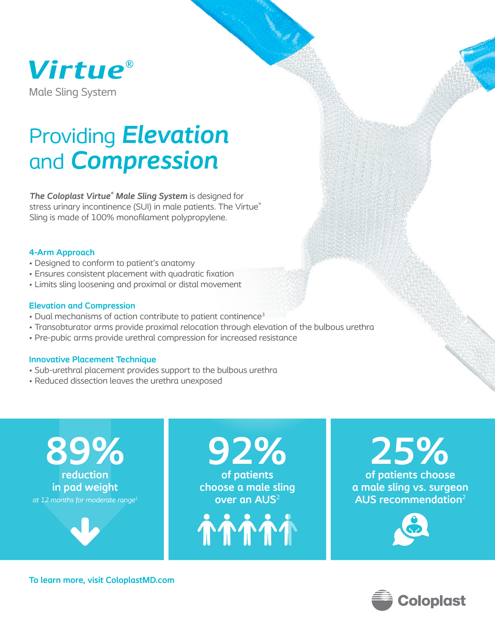

# Providing *Elevation* and *Compression*

*The Coloplast Virtue® Male Sling System* is designed for stress urinary incontinence (SUI) in male patients. The Virtue® Sling is made of 100% monofilament polypropylene.

### **4-Arm Approach**

- Designed to conform to patient's anatomy
- Ensures consistent placement with quadratic fixation
- Limits sling loosening and proximal or distal movement

## **Elevation and Compression**

- Dual mechanisms of action contribute to patient continence<sup>3</sup>
- Transobturator arms provide proximal relocation through elevation of the bulbous urethra
- Pre-pubic arms provide urethral compression for increased resistance

## **Innovative Placement Technique**

- Sub-urethral placement provides support to the bulbous urethra
- Reduced dissection leaves the urethra unexposed

*at 12 months for moderate range1* **reduction in pad weight 89%**



**92%**

**of patients choose a male sling over an AUS**<sup>2</sup>



**25%**

**of patients choose a male sling vs. surgeon AUS recommendation**<sup>2</sup> 





**To learn more, visit ColoplastMD.com**